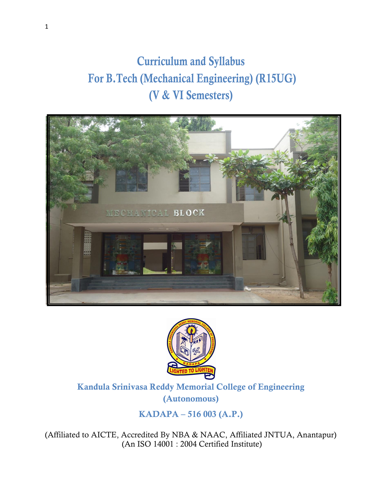# Curriculum and Syllabus For B.Tech (Mechanical Engineering) (R15UG) (V & VI Semesters)





# Kandula Srinivasa Reddy Memorial College of Engineering (Autonomous)

KADAPA – 516 003 (A.P.)

(Affiliated to AICTE, Accredited By NBA & NAAC, Affiliated JNTUA, Anantapur) (An ISO 14001 : 2004 Certified Institute)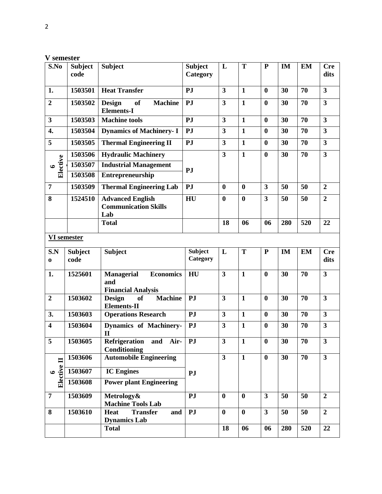|                         | эсписэн        |                                                                   |                |                         |              |                         |               |           |                         |
|-------------------------|----------------|-------------------------------------------------------------------|----------------|-------------------------|--------------|-------------------------|---------------|-----------|-------------------------|
| S.No                    | <b>Subject</b> | <b>Subject</b>                                                    | <b>Subject</b> | L                       | T            | ${\bf P}$               | IM            | <b>EM</b> | <b>Cre</b>              |
|                         | code           |                                                                   | Category       |                         |              |                         |               |           | dits                    |
|                         |                |                                                                   |                |                         |              |                         |               |           |                         |
| 1.                      | 1503501        | <b>Heat Transfer</b>                                              | PJ             | $\overline{\mathbf{3}}$ | $\mathbf{1}$ | $\boldsymbol{0}$        | 30            | 70        | $\overline{\mathbf{3}}$ |
| $\overline{2}$          | 1503502        | <b>of</b><br><b>Design</b><br><b>Machine</b>                      | PJ             | $\overline{\mathbf{3}}$ | $\mathbf{1}$ | $\bf{0}$                | 30            | 70        | $\overline{\mathbf{3}}$ |
|                         |                | <b>Elements-I</b>                                                 |                |                         |              |                         |               |           |                         |
|                         |                |                                                                   |                |                         |              |                         |               |           |                         |
| $\overline{\mathbf{3}}$ | 1503503        | <b>Machine tools</b>                                              | PJ             | $\overline{\mathbf{3}}$ | $\mathbf{1}$ | $\bf{0}$                | 30            | 70        | $\overline{\mathbf{3}}$ |
| 4.                      | 1503504        | <b>Dynamics of Machinery-I</b>                                    | PJ             | 3                       | $\mathbf{1}$ | $\bf{0}$                | 30            | 70        | $\overline{\mathbf{3}}$ |
| 5                       | 1503505        | <b>Thermal Engineering II</b>                                     | PJ             | $\overline{\mathbf{3}}$ | $\mathbf{1}$ | $\bf{0}$                | 30            | 70        | $\overline{\mathbf{3}}$ |
|                         | 1503506        | <b>Hydraulic Machinery</b>                                        |                | $\overline{\mathbf{3}}$ | $\mathbf{1}$ | $\bf{0}$                | 30            | 70        | $\overline{\mathbf{3}}$ |
| Elective<br>$\bullet$   | 1503507        | <b>Industrial Management</b>                                      |                |                         |              |                         |               |           |                         |
|                         | 1503508        | Entrepreneurship                                                  | PJ             |                         |              |                         |               |           |                         |
|                         |                |                                                                   |                |                         |              |                         |               |           |                         |
| $\overline{7}$          | 1503509        | <b>Thermal Engineering Lab</b>                                    | PJ             | $\bf{0}$                | $\bf{0}$     | $\overline{\mathbf{3}}$ | 50            | 50        | $\overline{2}$          |
| 8                       | 1524510        | <b>Advanced English</b>                                           | HU             | $\bf{0}$                | $\bf{0}$     | $\overline{\mathbf{3}}$ | 50            | 50        | $\overline{2}$          |
|                         |                | <b>Communication Skills</b>                                       |                |                         |              |                         |               |           |                         |
|                         |                | Lab                                                               |                |                         |              |                         |               |           |                         |
|                         |                | <b>Total</b>                                                      |                | 18                      | 06           | 06                      | 280           | 520       | 22                      |
| <b>VI</b> semester      |                |                                                                   |                |                         |              |                         |               |           |                         |
|                         |                |                                                                   |                |                         |              |                         |               |           |                         |
| S.N                     | <b>Subject</b> | <b>Subject</b>                                                    | <b>Subject</b> | L                       | T            | ${\bf P}$               | $\mathbf{IM}$ | <b>EM</b> | <b>Cre</b>              |
| $\bf{0}$                | code           |                                                                   | Category       |                         |              |                         |               |           | dits                    |
|                         |                |                                                                   |                |                         |              |                         |               |           |                         |
| 1.                      |                |                                                                   |                |                         |              |                         |               |           |                         |
|                         | 1525601        | <b>Managerial</b><br><b>Economics</b>                             | HU             | 3                       | $\mathbf{1}$ | $\bf{0}$                | 30            | 70        | $\overline{\mathbf{3}}$ |
|                         |                | and                                                               |                |                         |              |                         |               |           |                         |
|                         |                | <b>Financial Analysis</b>                                         |                |                         |              |                         |               |           |                         |
| $\overline{2}$          | 1503602        | <b>of</b><br><b>Machine</b><br><b>Design</b>                      | PJ             | $\overline{\mathbf{3}}$ | $\mathbf{1}$ | $\bf{0}$                | 30            | 70        | $\overline{\mathbf{3}}$ |
|                         |                | <b>Elements-II</b>                                                |                |                         |              |                         |               |           |                         |
| 3.                      | 1503603        | <b>Operations Research</b>                                        | PJ             | 3                       | $\mathbf{1}$ | $\bf{0}$                | 30            | 70        | $\overline{\mathbf{3}}$ |
| $\overline{\mathbf{4}}$ | 1503604        | <b>Dynamics of Machinery-</b>                                     | PJ             | $\overline{\mathbf{3}}$ | $\mathbf{1}$ | $\bf{0}$                | 30            | 70        | $\overline{\mathbf{3}}$ |
|                         |                | $\mathbf{I}$                                                      |                |                         |              |                         |               |           |                         |
| 5                       | 1503605        | Refrigeration<br>and Air-                                         | <b>PJ</b>      | 3                       | $\mathbf{1}$ | $\boldsymbol{0}$        | 30            | 70        | 3                       |
|                         |                | Conditioning                                                      |                |                         |              |                         |               |           |                         |
|                         | 1503606        | <b>Automobile Engineering</b>                                     |                | $\overline{\mathbf{3}}$ | $\mathbf{1}$ | $\bf{0}$                | 30            | 70        | $\overline{3}$          |
| $\bullet$               | 1503607        | <b>IC Engines</b>                                                 | PJ             |                         |              |                         |               |           |                         |
| Elective II             | 1503608        | <b>Power plant Engineering</b>                                    |                |                         |              |                         |               |           |                         |
|                         |                |                                                                   |                |                         |              |                         |               |           |                         |
| $\overline{7}$          | 1503609        | Metrology&                                                        | PJ             | $\bf{0}$                | $\bf{0}$     | $\overline{\mathbf{3}}$ | 50            | 50        | $\overline{2}$          |
| 8                       |                | <b>Machine Tools Lab</b><br><b>Transfer</b><br><b>Heat</b><br>and | PJ             | $\bf{0}$                | $\bf{0}$     | $\overline{\mathbf{3}}$ | 50            | 50        | $\overline{2}$          |
|                         | 1503610        |                                                                   |                |                         |              |                         |               |           |                         |
|                         |                | <b>Dynamics Lab</b><br><b>Total</b>                               |                | 18                      | 06           | 06                      | 280           | 520       | 22                      |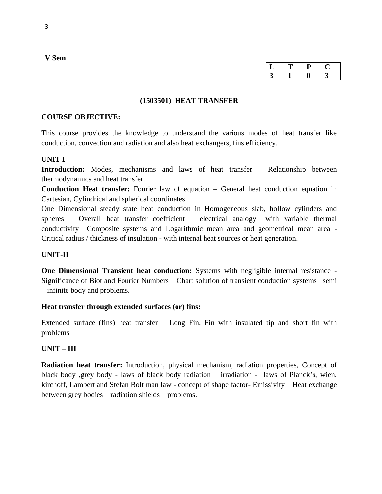| ◡ | ш | . . |
|---|---|-----|
|   |   |     |

#### **(1503501) HEAT TRANSFER**

#### **COURSE OBJECTIVE:**

This course provides the knowledge to understand the various modes of heat transfer like conduction, convection and radiation and also heat exchangers, fins efficiency.

### **UNIT I**

**Introduction:** Modes, mechanisms and laws of heat transfer – Relationship between thermodynamics and heat transfer.

**Conduction Heat transfer:** Fourier law of equation – General heat conduction equation in Cartesian, Cylindrical and spherical coordinates.

One Dimensional steady state heat conduction in Homogeneous slab, hollow cylinders and spheres – Overall heat transfer coefficient – electrical analogy –with variable thermal conductivity– Composite systems and Logarithmic mean area and geometrical mean area - Critical radius / thickness of insulation - with internal heat sources or heat generation.

### **UNIT-II**

**One Dimensional Transient heat conduction:** Systems with negligible internal resistance - Significance of Biot and Fourier Numbers – Chart solution of transient conduction systems –semi – infinite body and problems.

### **Heat transfer through extended surfaces (or) fins:**

Extended surface (fins) heat transfer – Long Fin, Fin with insulated tip and short fin with problems

### **UNIT – III**

**Radiation heat transfer:** Introduction, physical mechanism, radiation properties, Concept of black body ,grey body - laws of black body radiation – irradiation - laws of Planck's, wien, kirchoff, Lambert and Stefan Bolt man law - concept of shape factor- Emissivity – Heat exchange between grey bodies – radiation shields – problems.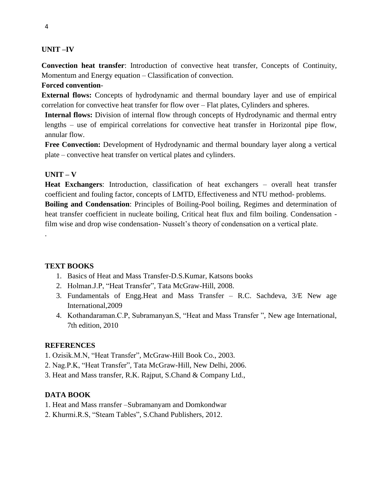# **UNIT –IV**

**Convection heat transfer**: Introduction of convective heat transfer, Concepts of Continuity, Momentum and Energy equation – Classification of convection.

# **Forced convention**-

**External flows:** Concepts of hydrodynamic and thermal boundary layer and use of empirical correlation for convective heat transfer for flow over – Flat plates, Cylinders and spheres.

**Internal flows:** Division of internal flow through concepts of Hydrodynamic and thermal entry lengths – use of empirical correlations for convective heat transfer in Horizontal pipe flow, annular flow.

**Free Convection:** Development of Hydrodynamic and thermal boundary layer along a vertical plate – convective heat transfer on vertical plates and cylinders.

# **UNIT – V**

.

**Heat Exchangers**: Introduction, classification of heat exchangers – overall heat transfer coefficient and fouling factor, concepts of LMTD, Effectiveness and NTU method- problems. **Boiling and Condensation**: Principles of Boiling-Pool boiling, Regimes and determination of heat transfer coefficient in nucleate boiling, Critical heat flux and film boiling. Condensation film wise and drop wise condensation- Nusselt's theory of condensation on a vertical plate.

# **TEXT BOOKS**

- 1. Basics of Heat and Mass Transfer-D.S.Kumar, Katsons books
- 2. Holman.J.P, "Heat Transfer", Tata McGraw-Hill, 2008.
- 3. Fundamentals of Engg.Heat and Mass Transfer R.C. Sachdeva, 3/E New age International,2009
- 4. Kothandaraman.C.P, Subramanyan.S, "Heat and Mass Transfer ", New age International, 7th edition, 2010

# **REFERENCES**

- 1. Ozisik.M.N, "Heat Transfer", McGraw-Hill Book Co., 2003.
- 2. Nag.P.K, "Heat Transfer", Tata McGraw-Hill, New Delhi, 2006.
- 3. Heat and Mass transfer, R.K. Rajput, S.Chand & Company Ltd.,

# **DATA BOOK**

- 1. Heat and Mass rransfer –Subramanyam and Domkondwar
- 2. Khurmi.R.S, "Steam Tables", S.Chand Publishers, 2012.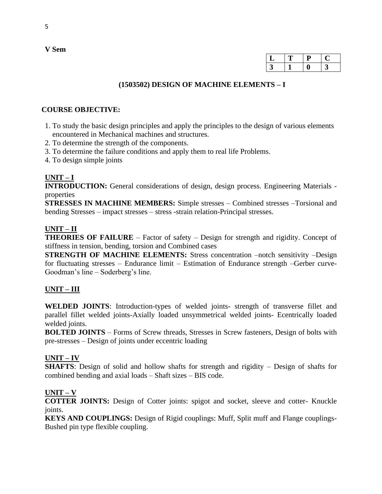| سه |  |  |
|----|--|--|
|    |  |  |

### **(1503502) DESIGN OF MACHINE ELEMENTS – I**

### **COURSE OBJECTIVE:**

- 1. To study the basic design principles and apply the principles to the design of various elements encountered in Mechanical machines and structures.
- 2. To determine the strength of the components.
- 3. To determine the failure conditions and apply them to real life Problems.
- 4. To design simple joints

### **UNIT – I**

**INTRODUCTION:** General considerations of design, design process. Engineering Materials properties

**STRESSES IN MACHINE MEMBERS:** Simple stresses – Combined stresses –Torsional and bending Stresses – impact stresses – stress -strain relation-Principal stresses.

### **UNIT – II**

**THEORIES OF FAILURE** – Factor of safety – Design for strength and rigidity. Concept of stiffness in tension, bending, torsion and Combined cases

**STRENGTH OF MACHINE ELEMENTS:** Stress concentration –notch sensitivity –Design for fluctuating stresses – Endurance limit – Estimation of Endurance strength –Gerber curve-Goodman's line – Soderberg's line.

# **UNIT – III**

**WELDED JOINTS**: Introduction-types of welded joints- strength of transverse fillet and parallel fillet welded joints-Axially loaded unsymmetrical welded joints- Ecentrically loaded welded joints.

**BOLTED JOINTS** – Forms of Screw threads, Stresses in Screw fasteners, Design of bolts with pre-stresses – Design of joints under eccentric loading

### **UNIT – IV**

**SHAFTS**: Design of solid and hollow shafts for strength and rigidity – Design of shafts for combined bending and axial loads – Shaft sizes – BIS code.

### **UNIT – V**

**COTTER JOINTS:** Design of Cotter joints: spigot and socket, sleeve and cotter- Knuckle joints.

**KEYS AND COUPLINGS:** Design of Rigid couplings: Muff, Split muff and Flange couplings-Bushed pin type flexible coupling.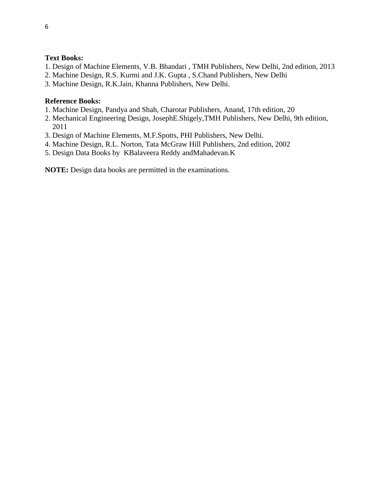### **Text Books:**

- 1. Design of Machine Elements, V.B. Bhandari , TMH Publishers, New Delhi, 2nd edition, 2013
- 2. Machine Design, R.S. Kurmi and J.K. Gupta , S.Chand Publishers, New Delhi
- 3. Machine Design, R.K.Jain, Khanna Publishers, New Delhi.

### **Reference Books:**

- 1. Machine Design, Pandya and Shah, Charotar Publishers, Anand, 17th edition, 20
- 2. Mechanical Engineering Design, JosephE.Shigely,TMH Publishers, New Delhi, 9th edition, 2011
- 3. Design of Machine Elements, M.F.Spotts, PHI Publishers, New Delhi.
- 4. Machine Design, R.L. Norton, Tata McGraw Hill Publishers, 2nd edition, 2002
- 5. Design Data Books by KBalaveera Reddy andMahadevan.K

**NOTE:** Design data books are permitted in the examinations.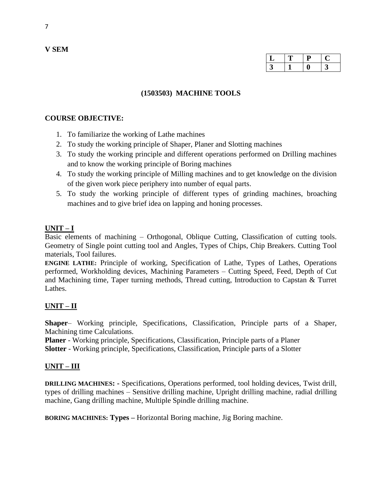| ⊔ |  | سه |
|---|--|----|
|   |  | ັ  |

### **(1503503) MACHINE TOOLS**

### **COURSE OBJECTIVE:**

- 1. To familiarize the working of Lathe machines
- 2. To study the working principle of Shaper, Planer and Slotting machines
- 3. To study the working principle and different operations performed on Drilling machines and to know the working principle of Boring machines
- 4. To study the working principle of Milling machines and to get knowledge on the division of the given work piece periphery into number of equal parts.
- 5. To study the working principle of different types of grinding machines, broaching machines and to give brief idea on lapping and honing processes.

# **UNIT – I**

Basic elements of machining – Orthogonal, Oblique Cutting, Classification of cutting tools. Geometry of Single point cutting tool and Angles, Types of Chips, Chip Breakers. Cutting Tool materials, Tool failures.

**ENGINE LATHE:** Principle of working, Specification of Lathe, Types of Lathes, Operations performed, Workholding devices, Machining Parameters – Cutting Speed, Feed, Depth of Cut and Machining time, Taper turning methods, Thread cutting, Introduction to Capstan & Turret Lathes.

# **UNIT – II**

**Shaper**– Working principle, Specifications, Classification, Principle parts of a Shaper, Machining time Calculations.

**Planer** - Working principle, Specifications, Classification, Principle parts of a Planer **Slotter** - Working principle, Specifications, Classification, Principle parts of a Slotter

# **UNIT – III**

**DRILLING MACHINES: -** Specifications, Operations performed, tool holding devices, Twist drill, types of drilling machines – Sensitive drilling machine, Upright drilling machine, radial drilling machine, Gang drilling machine, Multiple Spindle drilling machine.

**BORING MACHINES: Types –** Horizontal Boring machine, Jig Boring machine.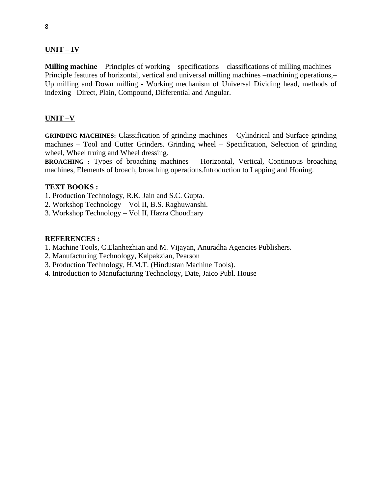### **UNIT – IV**

**Milling machine** – Principles of working – specifications – classifications of milling machines – Principle features of horizontal, vertical and universal milling machines –machining operations,– Up milling and Down milling - Working mechanism of Universal Dividing head, methods of indexing –Direct, Plain, Compound, Differential and Angular.

### **UNIT –V**

**GRINDING MACHINES:** Classification of grinding machines – Cylindrical and Surface grinding machines – Tool and Cutter Grinders. Grinding wheel – Specification, Selection of grinding wheel, Wheel truing and Wheel dressing.

**BROACHING :** Types of broaching machines – Horizontal, Vertical, Continuous broaching machines, Elements of broach, broaching operations.Introduction to Lapping and Honing.

#### **TEXT BOOKS :**

- 1. Production Technology, R.K. Jain and S.C. Gupta.
- 2. Workshop Technology Vol II, B.S. Raghuwanshi.
- 3. Workshop Technology Vol II, Hazra Choudhary

#### **REFERENCES :**

- 1. Machine Tools, C.Elanhezhian and M. Vijayan, Anuradha Agencies Publishers.
- 2. Manufacturing Technology, Kalpakzian, Pearson
- 3. Production Technology, H.M.T. (Hindustan Machine Tools).
- 4. Introduction to Manufacturing Technology, Date, Jaico Publ. House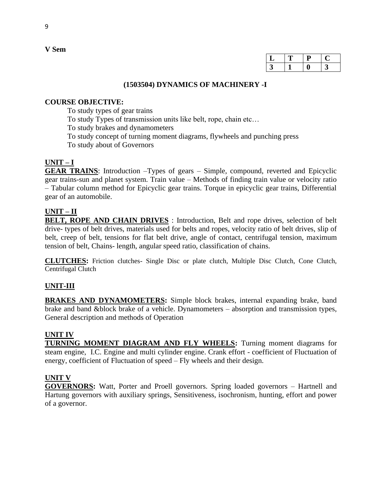| ⊔ | г | ι. | . . |
|---|---|----|-----|
|   |   |    | ⊾   |

### **(1503504) DYNAMICS OF MACHINERY -I**

# **COURSE OBJECTIVE:**

To study types of gear trains

To study Types of transmission units like belt, rope, chain etc…

To study brakes and dynamometers

To study concept of turning moment diagrams, flywheels and punching press

To study about of Governors

# **UNIT – I**

**GEAR TRAINS**: Introduction –Types of gears – Simple, compound, reverted and Epicyclic gear trains-sun and planet system. Train value – Methods of finding train value or velocity ratio – Tabular column method for Epicyclic gear trains. Torque in epicyclic gear trains, Differential gear of an automobile.

# **UNIT – II**

**BELT, ROPE AND CHAIN DRIVES** : Introduction, Belt and rope drives, selection of belt drive- types of belt drives, materials used for belts and ropes, velocity ratio of belt drives, slip of belt, creep of belt, tensions for flat belt drive, angle of contact, centrifugal tension, maximum tension of belt, Chains- length, angular speed ratio, classification of chains.

**CLUTCHES:** Friction clutches- Single Disc or plate clutch, Multiple Disc Clutch, Cone Clutch, Centrifugal Clutch

# **UNIT-III**

**BRAKES AND DYNAMOMETERS:** Simple block brakes, internal expanding brake, band brake and band &block brake of a vehicle. Dynamometers – absorption and transmission types, General description and methods of Operation

### **UNIT IV**

**TURNING MOMENT DIAGRAM AND FLY WHEELS:** Turning moment diagrams for steam engine, I.C. Engine and multi cylinder engine. Crank effort - coefficient of Fluctuation of energy, coefficient of Fluctuation of speed – Fly wheels and their design.

### **UNIT V**

**GOVERNORS:** Watt, Porter and Proell governors. Spring loaded governors – Hartnell and Hartung governors with auxiliary springs, Sensitiveness, isochronism, hunting, effort and power of a governor.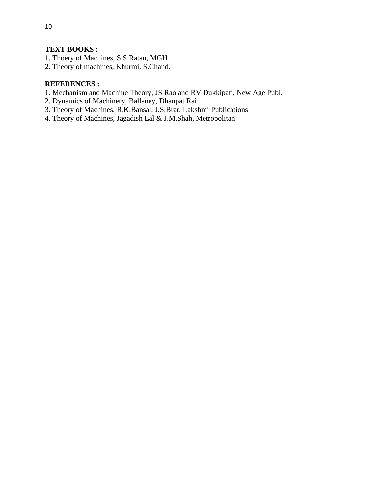# **TEXT BOOKS :**

- 1. Thoery of Machines, S.S Ratan, MGH
- 2. Theory of machines, Khurmi, S.Chand.

### **REFERENCES :**

- 1. Mechanism and Machine Theory, JS Rao and RV Dukkipati, New Age Publ.
- 2. Dynamics of Machinery, Ballaney, Dhanpat Rai
- 3. Theory of Machines, R.K.Bansal, J.S.Brar, Lakshmi Publications
- 4. Theory of Machines, Jagadish Lal & J.M.Shah, Metropolitan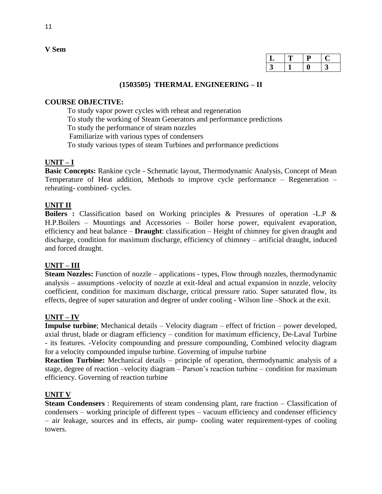| ⊷ | υ | e. |
|---|---|----|
|   |   | ັ  |

#### **(1503505) THERMAL ENGINEERING – II**

### **COURSE OBJECTIVE:**

To study vapor power cycles with reheat and regeneration To study the working of Steam Generators and performance predictions To study the performance of steam nozzles Familiarize with various types of condensers To study various types of steam Turbines and performance predictions

# **UNIT – I**

**Basic Concepts:** Rankine cycle - Schematic layout, Thermodynamic Analysis, Concept of Mean Temperature of Heat addition, Methods to improve cycle performance – Regeneration – reheating- combined- cycles.

### **UNIT II**

**Boilers :** Classification based on Working principles & Pressures of operation -L.P & H.P.Boilers – Mountings and Accessories – Boiler horse power, equivalent evaporation, efficiency and heat balance – **Draught**: classification – Height of chimney for given draught and discharge, condition for maximum discharge, efficiency of chimney – artificial draught, induced and forced draught.

### **UNIT – III**

**Steam Nozzles:** Function of nozzle – applications - types, Flow through nozzles, thermodynamic analysis – assumptions -velocity of nozzle at exit-Ideal and actual expansion in nozzle, velocity coefficient, condition for maximum discharge, critical pressure ratio. Super saturated flow, its effects, degree of super saturation and degree of under cooling - Wilson line –Shock at the exit.

### **UNIT – IV**

**Impulse turbine**; Mechanical details – Velocity diagram – effect of friction – power developed, axial thrust, blade or diagram efficiency – condition for maximum efficiency, De-Laval Turbine - its features. -Velocity compounding and pressure compounding, Combined velocity diagram for a velocity compounded impulse turbine. Governing of impulse turbine

**Reaction Turbine:** Mechanical details – principle of operation, thermodynamic analysis of a stage, degree of reaction –velocity diagram – Parson's reaction turbine – condition for maximum efficiency. Governing of reaction turbine

### **UNIT V**

**Steam Condensers** : Requirements of steam condensing plant, rare fraction – Classification of condensers – working principle of different types – vacuum efficiency and condenser efficiency – air leakage, sources and its effects, air pump- cooling water requirement-types of cooling towers.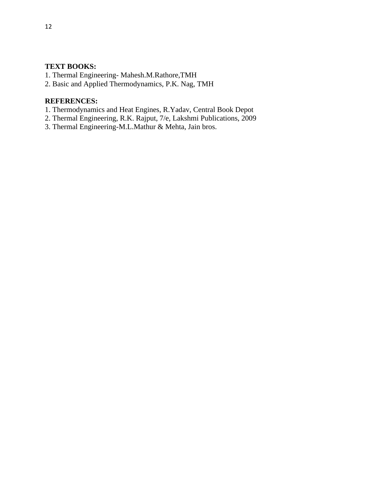## **TEXT BOOKS:**

- 1. Thermal Engineering- Mahesh.M.Rathore,TMH
- 2. Basic and Applied Thermodynamics, P.K. Nag, TMH

# **REFERENCES:**

- 1. Thermodynamics and Heat Engines, R.Yadav, Central Book Depot
- 2. Thermal Engineering, R.K. Rajput, 7/e, Lakshmi Publications, 2009
- 3. Thermal Engineering-M.L.Mathur & Mehta, Jain bros.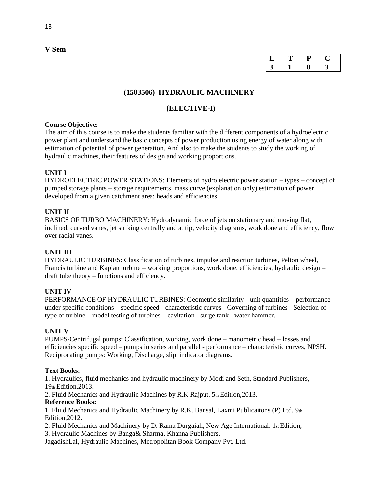| ى |  |  |
|---|--|--|
|   |  |  |

### **(1503506) HYDRAULIC MACHINERY**

### **(ELECTIVE-I)**

#### **Course Objective:**

The aim of this course is to make the students familiar with the different components of a hydroelectric power plant and understand the basic concepts of power production using energy of water along with estimation of potential of power generation. And also to make the students to study the working of hydraulic machines, their features of design and working proportions.

#### **UNIT I**

HYDROELECTRIC POWER STATIONS: Elements of hydro electric power station – types – concept of pumped storage plants – storage requirements, mass curve (explanation only) estimation of power developed from a given catchment area; heads and efficiencies.

#### **UNIT II**

BASICS OF TURBO MACHINERY: Hydrodynamic force of jets on stationary and moving flat, inclined, curved vanes, jet striking centrally and at tip, velocity diagrams, work done and efficiency, flow over radial vanes.

#### **UNIT III**

HYDRAULIC TURBINES: Classification of turbines, impulse and reaction turbines, Pelton wheel, Francis turbine and Kaplan turbine – working proportions, work done, efficiencies, hydraulic design – draft tube theory – functions and efficiency.

#### **UNIT IV**

PERFORMANCE OF HYDRAULIC TURBINES: Geometric similarity - unit quantities – performance under specific conditions – specific speed - characteristic curves - Governing of turbines - Selection of type of turbine – model testing of turbines – cavitation - surge tank - water hammer.

#### **UNIT V**

PUMPS-Centrifugal pumps: Classification, working, work done – manometric head – losses and efficiencies specific speed – pumps in series and parallel - performance – characteristic curves, NPSH. Reciprocating pumps: Working, Discharge, slip, indicator diagrams.

#### **Text Books:**

1. Hydraulics, fluid mechanics and hydraulic machinery by Modi and Seth, Standard Publishers, 19th Edition,2013.

2. Fluid Mechanics and Hydraulic Machines by R.K Rajput. 5th Edition, 2013.

#### **Reference Books:**

1. Fluid Mechanics and Hydraulic Machinery by R.K. Bansal, Laxmi Publicaitons (P) Ltd.  $9<sub>th</sub>$ Edition,2012.

2. Fluid Mechanics and Machinery by D. Rama Durgaiah, New Age International. 1st Edition, 3. Hydraulic Machines by Banga& Sharma, Khanna Publishers.

JagadishLal, Hydraulic Machines, Metropolitan Book Company Pvt. Ltd.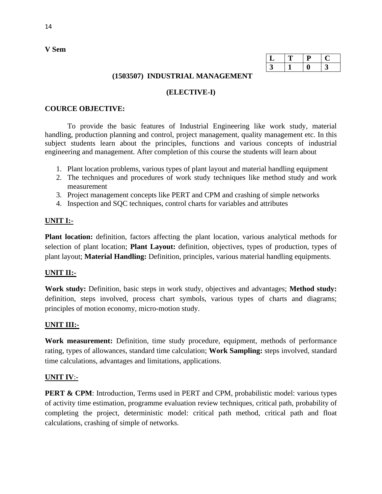| ∸ |  |  |
|---|--|--|
|   |  |  |

### **(1503507) INDUSTRIAL MANAGEMENT**

### **(ELECTIVE-I)**

### **COURCE OBJECTIVE:**

To provide the basic features of Industrial Engineering like work study, material handling, production planning and control, project management, quality management etc. In this subject students learn about the principles, functions and various concepts of industrial engineering and management. After completion of this course the students will learn about

- 1. Plant location problems, various types of plant layout and material handling equipment
- 2. The techniques and procedures of work study techniques like method study and work measurement
- 3. Project management concepts like PERT and CPM and crashing of simple networks
- 4. Inspection and SQC techniques, control charts for variables and attributes

# **UNIT I:-**

**Plant location:** definition, factors affecting the plant location, various analytical methods for selection of plant location; **Plant Layout:** definition, objectives, types of production, types of plant layout; **Material Handling:** Definition, principles, various material handling equipments.

### **UNIT II:-**

**Work study:** Definition, basic steps in work study, objectives and advantages; **Method study:** definition, steps involved, process chart symbols, various types of charts and diagrams; principles of motion economy, micro-motion study.

### **UNIT III:-**

**Work measurement:** Definition, time study procedure, equipment, methods of performance rating, types of allowances, standard time calculation; **Work Sampling:** steps involved, standard time calculations, advantages and limitations, applications.

### **UNIT IV**:-

**PERT & CPM**: Introduction, Terms used in PERT and CPM, probabilistic model: various types of activity time estimation, programme evaluation review techniques, critical path, probability of completing the project, deterministic model: critical path method, critical path and float calculations, crashing of simple of networks.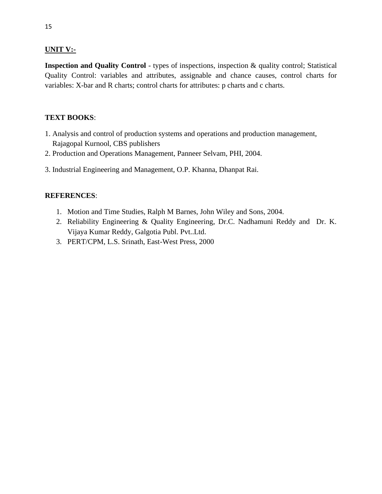### **UNIT V:-**

**Inspection and Quality Control** - types of inspections, inspection & quality control; Statistical Quality Control: variables and attributes, assignable and chance causes, control charts for variables: X-bar and R charts; control charts for attributes: p charts and c charts.

### **TEXT BOOKS**:

- 1. Analysis and control of production systems and operations and production management, Rajagopal Kurnool, CBS publishers
- 2. Production and Operations Management, Panneer Selvam, PHI, 2004.
- 3. Industrial Engineering and Management, O.P. Khanna, Dhanpat Rai.

### **REFERENCES**:

- 1. Motion and Time Studies, Ralph M Barnes, John Wiley and Sons, 2004.
- 2. Reliability Engineering & Quality Engineering, Dr.C. Nadhamuni Reddy and Dr. K. Vijaya Kumar Reddy, Galgotia Publ. Pvt..Ltd.
- 3. PERT/CPM, L.S. Srinath, East-West Press, 2000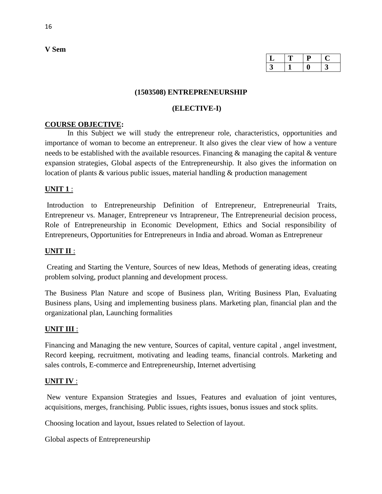| ┻ |  |  |
|---|--|--|
|   |  |  |

#### **(1503508) ENTREPRENEURSHIP**

#### **(ELECTIVE-I)**

#### **COURSE OBJECTIVE:**

In this Subject we will study the entrepreneur role, characteristics, opportunities and importance of woman to become an entrepreneur. It also gives the clear view of how a venture needs to be established with the available resources. Financing & managing the capital & venture expansion strategies, Global aspects of the Entrepreneurship. It also gives the information on location of plants & various public issues, material handling & production management

#### **UNIT 1** :

Introduction to Entrepreneurship Definition of Entrepreneur, Entrepreneurial Traits, Entrepreneur vs. Manager, Entrepreneur vs Intrapreneur, The Entrepreneurial decision process, Role of Entrepreneurship in Economic Development, Ethics and Social responsibility of Entrepreneurs, Opportunities for Entrepreneurs in India and abroad. Woman as Entrepreneur

#### **UNIT II** :

Creating and Starting the Venture, Sources of new Ideas, Methods of generating ideas, creating problem solving, product planning and development process.

The Business Plan Nature and scope of Business plan, Writing Business Plan, Evaluating Business plans, Using and implementing business plans. Marketing plan, financial plan and the organizational plan, Launching formalities

#### **UNIT III** :

Financing and Managing the new venture, Sources of capital, venture capital , angel investment, Record keeping, recruitment, motivating and leading teams, financial controls. Marketing and sales controls, E-commerce and Entrepreneurship, Internet advertising

#### **UNIT IV** :

New venture Expansion Strategies and Issues, Features and evaluation of joint ventures, acquisitions, merges, franchising. Public issues, rights issues, bonus issues and stock splits.

Choosing location and layout, Issues related to Selection of layout.

Global aspects of Entrepreneurship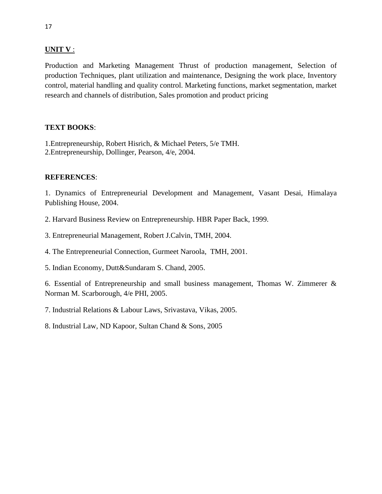### **UNIT V** :

Production and Marketing Management Thrust of production management, Selection of production Techniques, plant utilization and maintenance, Designing the work place, Inventory control, material handling and quality control. Marketing functions, market segmentation, market research and channels of distribution, Sales promotion and product pricing

### **TEXT BOOKS**:

1.Entrepreneurship, Robert Hisrich, & Michael Peters, 5/e TMH. 2.Entrepreneurship, Dollinger, Pearson, 4/e, 2004.

### **REFERENCES**:

1. Dynamics of Entrepreneurial Development and Management, Vasant Desai, Himalaya Publishing House, 2004.

- 2. Harvard Business Review on Entrepreneurship. HBR Paper Back, 1999.
- 3. Entrepreneurial Management, Robert J.Calvin, TMH, 2004.
- 4. The Entrepreneurial Connection, Gurmeet Naroola, TMH, 2001.
- 5. Indian Economy, Dutt&Sundaram S. Chand, 2005.

6. Essential of Entrepreneurship and small business management, Thomas W. Zimmerer & Norman M. Scarborough, 4/e PHI, 2005.

7. Industrial Relations & Labour Laws, Srivastava, Vikas, 2005.

8. Industrial Law, ND Kapoor, Sultan Chand & Sons, 2005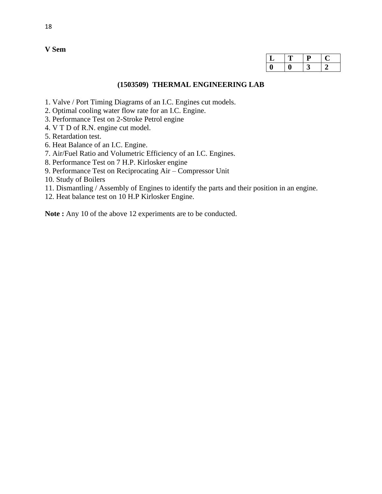| ┻ | IJ |  |
|---|----|--|
|   | ັ  |  |

#### **(1503509) THERMAL ENGINEERING LAB**

- 1. Valve / Port Timing Diagrams of an I.C. Engines cut models.
- 2. Optimal cooling water flow rate for an I.C. Engine.
- 3. Performance Test on 2-Stroke Petrol engine
- 4. V T D of R.N. engine cut model.
- 5. Retardation test.
- 6. Heat Balance of an I.C. Engine.
- 7. Air/Fuel Ratio and Volumetric Efficiency of an I.C. Engines.
- 8. Performance Test on 7 H.P. Kirlosker engine
- 9. Performance Test on Reciprocating Air Compressor Unit
- 10. Study of Boilers
- 11. Dismantling / Assembly of Engines to identify the parts and their position in an engine.
- 12. Heat balance test on 10 H.P Kirlosker Engine.

Note : Any 10 of the above 12 experiments are to be conducted.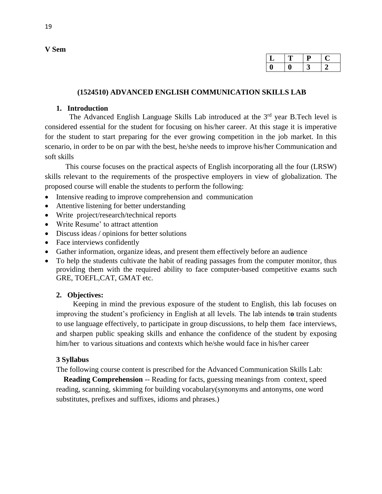| ້ |  |  |
|---|--|--|
|   |  |  |

#### **(1524510) ADVANCED ENGLISH COMMUNICATION SKILLS LAB**

#### **1. Introduction**

The Advanced English Language Skills Lab introduced at the 3<sup>rd</sup> year B.Tech level is considered essential for the student for focusing on his/her career. At this stage it is imperative for the student to start preparing for the ever growing competition in the job market. In this scenario, in order to be on par with the best, he/she needs to improve his/her Communication and soft skills

 This course focuses on the practical aspects of English incorporating all the four (LRSW) skills relevant to the requirements of the prospective employers in view of globalization. The proposed course will enable the students to perform the following:

- Intensive reading to improve comprehension and communication
- Attentive listening for better understanding
- Write project/research/technical reports
- Write Resume' to attract attention
- Discuss ideas / opinions for better solutions
- Face interviews confidently
- Gather information, organize ideas, and present them effectively before an audience
- To help the students cultivate the habit of reading passages from the computer monitor, thus providing them with the required ability to face computer-based competitive exams such GRE, TOEFL,CAT, GMAT etc.

### **2. Objectives:**

 Keeping in mind the previous exposure of the student to English, this lab focuses on improving the student's proficiency in English at all levels. The lab intends t**o** train students to use language effectively, to participate in group discussions, to help them face interviews, and sharpen public speaking skills and enhance the confidence of the student by exposing him/her to various situations and contexts which he/she would face in his/her career

### **3 Syllabus**

The following course content is prescribed for the Advanced Communication Skills Lab:

**Reading Comprehension** -- Reading for facts, guessing meanings from context, speed reading, scanning, skimming for building vocabulary(synonyms and antonyms, one word substitutes, prefixes and suffixes, idioms and phrases.)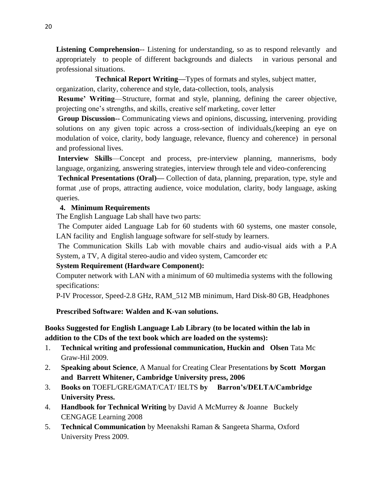**Listening Comprehension**-- Listening for understanding, so as to respond relevantly and appropriately to people of different backgrounds and dialects in various personal and professional situations.

# **Technical Report Writing—**Types of formats and styles, subject matter,

organization, clarity, coherence and style, data-collection, tools, analysis

**Resume' Writing**—Structure, format and style, planning, defining the career objective, projecting one's strengths, and skills, creative self marketing, cover letter

**Group Discussion**-- Communicating views and opinions, discussing, intervening. providing solutions on any given topic across a cross-section of individuals,(keeping an eye on modulation of voice, clarity, body language, relevance, fluency and coherence) in personal and professional lives.

**Interview Skills**—Concept and process, pre-interview planning, mannerisms, body language, organizing, answering strategies, interview through tele and video-conferencing

**Technical Presentations (Oral)—** Collection of data, planning, preparation, type, style and format ,use of props, attracting audience, voice modulation, clarity, body language, asking queries.

# **4. Minimum Requirements**

The English Language Lab shall have two parts:

The Computer aided Language Lab for 60 students with 60 systems, one master console, LAN facility and English language software for self-study by learners.

The Communication Skills Lab with movable chairs and audio-visual aids with a P.A System, a TV, A digital stereo-audio and video system, Camcorder etc

# **System Requirement (Hardware Component):**

Computer network with LAN with a minimum of 60 multimedia systems with the following specifications:

P-IV Processor, Speed-2.8 GHz, RAM\_512 MB minimum, Hard Disk-80 GB, Headphones

 **Prescribed Software: Walden and K-van solutions.**

# **Books Suggested for English Language Lab Library (to be located within the lab in addition to the CDs of the text book which are loaded on the systems):**

- 1. **Technical writing and professional communication, Huckin and Olsen** Tata Mc Graw-Hil 2009.
- 2. **Speaking about Science**, A Manual for Creating Clear Presentations **by Scott Morgan and Barrett Whitener, Cambridge University press, 2006**
- 3. **Books on** TOEFL/GRE/GMAT/CAT/ IELTS **by Barron's/DELTA/Cambridge University Press.**
- 4. **Handbook for Technical Writing** by David A McMurrey & Joanne Buckely CENGAGE Learning 2008
- 5. **Technical Communication** by Meenakshi Raman & Sangeeta Sharma, Oxford University Press 2009.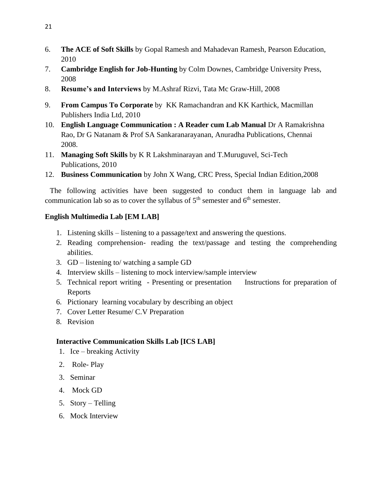- 6. **The ACE of Soft Skills** by Gopal Ramesh and Mahadevan Ramesh, Pearson Education, 2010
- 7. **Cambridge English for Job-Hunting** by Colm Downes, Cambridge University Press, 2008
- 8. **Resume's and Interviews** by M.Ashraf Rizvi, Tata Mc Graw-Hill, 2008
- 9. **From Campus To Corporate** by KK Ramachandran and KK Karthick, Macmillan Publishers India Ltd, 2010
- 10. **English Language Communication : A Reader cum Lab Manual** Dr A Ramakrishna Rao, Dr G Natanam & Prof SA Sankaranarayanan, Anuradha Publications, Chennai 2008.
- 11. **Managing Soft Skills** by K R Lakshminarayan and T.Muruguvel, Sci-Tech Publications, 2010
- 12. **Business Communication** by John X Wang, CRC Press, Special Indian Edition,2008

 The following activities have been suggested to conduct them in language lab and communication lab so as to cover the syllabus of  $5<sup>th</sup>$  semester and  $6<sup>th</sup>$  semester.

# **English Multimedia Lab [EM LAB]**

- 1. Listening skills listening to a passage/text and answering the questions.
- 2. Reading comprehension- reading the text/passage and testing the comprehending abilities.
- 3. GD listening to/ watching a sample GD
- 4. Interview skills listening to mock interview/sample interview
- 5. Technical report writing Presenting or presentation Instructions for preparation of Reports
- 6. Pictionary learning vocabulary by describing an object
- 7. Cover Letter Resume/ C.V Preparation
- 8. Revision

# **Interactive Communication Skills Lab [ICS LAB]**

- 1. Ice breaking Activity
- 2. Role- Play
- 3. Seminar
- 4. Mock GD
- 5. Story Telling
- 6. Mock Interview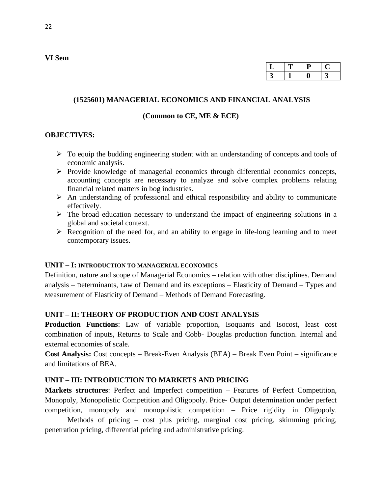| ٮ |  |  |
|---|--|--|
|   |  |  |

#### **(1525601) MANAGERIAL ECONOMICS AND FINANCIAL ANALYSIS**

#### **(Common to CE, ME & ECE)**

#### **OBJECTIVES:**

- ➢ To equip the budding engineering student with an understanding of concepts and tools of economic analysis.
- ➢ Provide knowledge of managerial economics through differential economics concepts, accounting concepts are necessary to analyze and solve complex problems relating financial related matters in bog industries.
- $\triangleright$  An understanding of professional and ethical responsibility and ability to communicate effectively.
- $\triangleright$  The broad education necessary to understand the impact of engineering solutions in a global and societal context.
- $\triangleright$  Recognition of the need for, and an ability to engage in life-long learning and to meet contemporary issues.

#### **UNIT – I: INTRODUCTION TO MANAGERIAL ECONOMICS**

Definition, nature and scope of Managerial Economics – relation with other disciplines. Demand analysis – Determinants, Law of Demand and its exceptions – Elasticity of Demand – Types and Measurement of Elasticity of Demand – Methods of Demand Forecasting.

#### **UNIT – II: THEORY OF PRODUCTION AND COST ANALYSIS**

**Production Functions**: Law of variable proportion, Isoquants and Isocost, least cost combination of inputs, Returns to Scale and Cobb- Douglas production function. Internal and external economies of scale.

**Cost Analysis:** Cost concepts – Break-Even Analysis (BEA) – Break Even Point – significance and limitations of BEA.

#### **UNIT – III: INTRODUCTION TO MARKETS AND PRICING**

**Markets structures**: Perfect and Imperfect competition – Features of Perfect Competition, Monopoly, Monopolistic Competition and Oligopoly. Price- Output determination under perfect competition, monopoly and monopolistic competition – Price rigidity in Oligopoly.

Methods of pricing – cost plus pricing, marginal cost pricing, skimming pricing, penetration pricing, differential pricing and administrative pricing.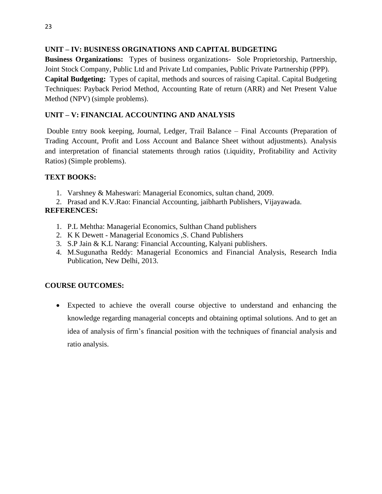# **UNIT – IV: BUSINESS ORGINATIONS AND CAPITAL BUDGETING**

**Business Organizations:** Types of business organizations- Sole Proprietorship, Partnership, Joint Stock Company, Public Ltd and Private Ltd companies, Public Private Partnership (PPP). **Capital Budgeting:** Types of capital, methods and sources of raising Capital. Capital Budgeting Techniques: Payback Period Method, Accounting Rate of return (ARR) and Net Present Value Method (NPV) (simple problems).

# **UNIT – V: FINANCIAL ACCOUNTING AND ANALYSIS**

Double Entry Book keeping, Journal, Ledger, Trail Balance – Final Accounts (Preparation of Trading Account, Profit and Loss Account and Balance Sheet without adjustments). Analysis and interpretation of financial statements through ratios (Liquidity, Profitability and Activity Ratios) (Simple problems).

# **TEXT BOOKS:**

- 1. Varshney & Maheswari: Managerial Economics, sultan chand, 2009.
- 2. Prasad and K.V.Rao: Financial Accounting, jaibharth Publishers, Vijayawada.

# **REFERENCES:**

- 1. P.L Mehtha: Managerial Economics, Sulthan Chand publishers
- 2. K K Dewett [Managerial Economics ,S. Chand Publishe](https://www.schandpublishing.com/author-details/k-k-dewett/508)rs
- 3. S.P Jain & K.L Narang: Financial Accounting, Kalyani publishers.
- 4. M.Sugunatha Reddy: Managerial Economics and Financial Analysis, Research India Publication, New Delhi, 2013.

# **COURSE OUTCOMES:**

• Expected to achieve the overall course objective to understand and enhancing the knowledge regarding managerial concepts and obtaining optimal solutions. And to get an idea of analysis of firm's financial position with the techniques of financial analysis and ratio analysis.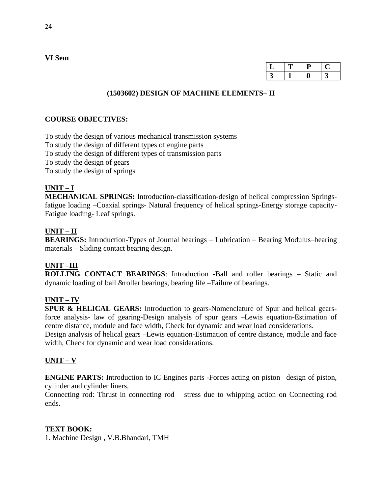| ┚       |  |  |
|---------|--|--|
| า<br>L. |  |  |

# **(1503602) DESIGN OF MACHINE ELEMENTS– II**

### **COURSE OBJECTIVES:**

To study the design of various mechanical transmission systems To study the design of different types of engine parts To study the design of different types of transmission parts To study the design of gears To study the design of springs

### **UNIT – I**

**MECHANICAL SPRINGS:** Introduction**-**classification-design of helical compression Springsfatigue loading –Coaxial springs- Natural frequency of helical springs-Energy storage capacity-Fatigue loading- Leaf springs.

### **UNIT – II**

**BEARINGS:** Introduction**-**Types of Journal bearings – Lubrication – Bearing Modulus–bearing materials – Sliding contact bearing design.

# **UNIT –III**

**ROLLING CONTACT BEARINGS**: Introduction -Ball and roller bearings – Static and dynamic loading of ball &roller bearings, bearing life –Failure of bearings.

### **UNIT – IV**

**SPUR & HELICAL GEARS:** Introduction to gears-Nomenclature of Spur and helical gearsforce analysis- law of gearing-Design analysis of spur gears –Lewis equation-Estimation of centre distance, module and face width, Check for dynamic and wear load considerations. Design analysis of helical gears –Lewis equation-Estimation of centre distance, module and face width, Check for dynamic and wear load considerations.

# **UNIT – V**

**ENGINE PARTS:** Introduction to IC Engines parts -Forces acting on piston –design of piston, cylinder and cylinder liners,

Connecting rod: Thrust in connecting rod – stress due to whipping action on Connecting rod ends.

### **TEXT BOOK:**

1. Machine Design , V.B.Bhandari, TMH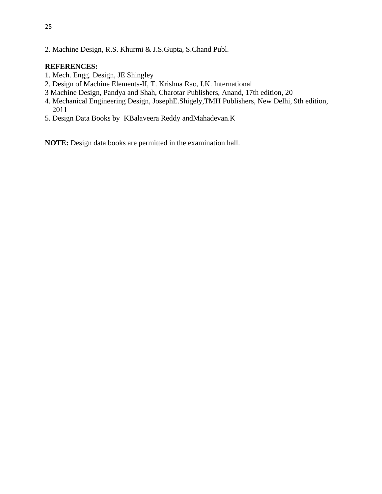2. Machine Design, R.S. Khurmi & J.S.Gupta, S.Chand Publ.

### **REFERENCES:**

- 1. Mech. Engg. Design, JE Shingley
- 2. Design of Machine Elements-II, T. Krishna Rao, I.K. International
- 3 Machine Design, Pandya and Shah, Charotar Publishers, Anand, 17th edition, 20
- 4. Mechanical Engineering Design, JosephE.Shigely,TMH Publishers, New Delhi, 9th edition, 2011
- 5. Design Data Books by KBalaveera Reddy andMahadevan.K

**NOTE:** Design data books are permitted in the examination hall.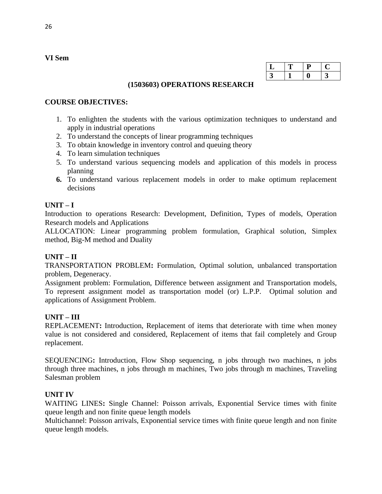| ◡ | н |  |
|---|---|--|
|   |   |  |

### **(1503603) OPERATIONS RESEARCH**

### **COURSE OBJECTIVES:**

- 1. To enlighten the students with the various optimization techniques to understand and apply in industrial operations
- 2. To understand the concepts of linear programming techniques
- 3. To obtain knowledge in inventory control and queuing theory
- 4. To learn simulation techniques
- 5. To understand various sequencing models and application of this models in process planning
- **6.** To understand various replacement models in order to make optimum replacement decisions

### **UNIT – I**

Introduction to operations Research: Development, Definition, Types of models, Operation Research models and Applications

ALLOCATION: Linear programming problem formulation, Graphical solution, Simplex method, Big-M method and Duality

### **UNIT – II**

TRANSPORTATION PROBLEM**:** Formulation, Optimal solution, unbalanced transportation problem, Degeneracy.

Assignment problem: Formulation, Difference between assignment and Transportation models, To represent assignment model as transportation model (or) L.P.P. Optimal solution and applications of Assignment Problem.

### **UNIT – III**

REPLACEMENT**:** Introduction, Replacement of items that deteriorate with time when money value is not considered and considered, Replacement of items that fail completely and Group replacement.

SEQUENCING**:** Introduction, Flow Shop sequencing, n jobs through two machines, n jobs through three machines, n jobs through m machines, Two jobs through m machines, Traveling Salesman problem

### **UNIT IV**

WAITING LINES**:** Single Channel: Poisson arrivals, Exponential Service times with finite queue length and non finite queue length models

Multichannel: Poisson arrivals, Exponential service times with finite queue length and non finite queue length models.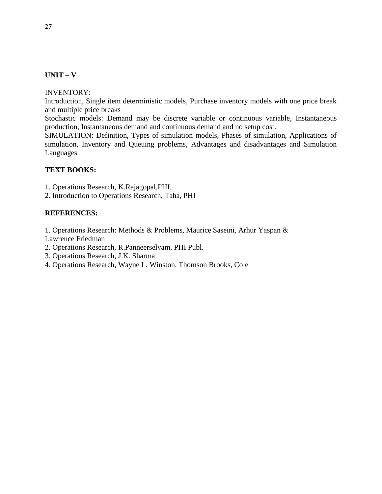### **UNIT – V**

INVENTORY:

Introduction, Single item deterministic models, Purchase inventory models with one price break and multiple price breaks

Stochastic models: Demand may be discrete variable or continuous variable, Instantaneous production, Instantaneous demand and continuous demand and no setup cost.

SIMULATION: Definition, Types of simulation models, Phases of simulation, Applications of simulation, Inventory and Queuing problems, Advantages and disadvantages and Simulation Languages

### **TEXT BOOKS:**

1. Operations Research, K.Rajagopal,PHI.

2. Introduction to Operations Research, Taha, PHI

### **REFERENCES:**

1. Operations Research: Methods & Problems, Maurice Saseini, Arhur Yaspan & Lawrence Friedman

- 2. Operations Research, R.Panneerselvam, PHI Publ.
- 3. Operations Research, J.K. Sharma
- 4. Operations Research, Wayne L. Winston, Thomson Brooks, Cole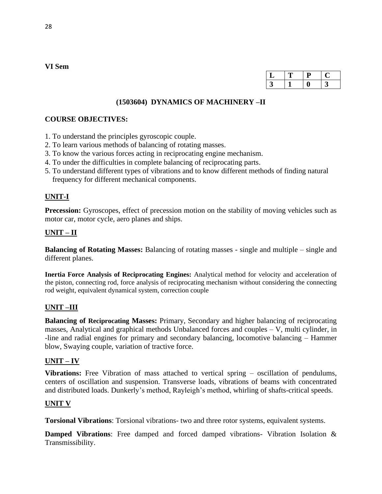# **(1503604) DYNAMICS OF MACHINERY –II**

### **COURSE OBJECTIVES:**

- 1. To understand the principles gyroscopic couple.
- 2. To learn various methods of balancing of rotating masses.
- 3. To know the various forces acting in reciprocating engine mechanism.
- 4. To under the difficulties in complete balancing of reciprocating parts.
- 5. To understand different types of vibrations and to know different methods of finding natural frequency for different mechanical components.

### **UNIT-I**

**Precession:** Gyroscopes, effect of precession motion on the stability of moving vehicles such as motor car, motor cycle, aero planes and ships.

# **UNIT – II**

**Balancing of Rotating Masses:** Balancing of rotating masses - single and multiple – single and different planes.

**Inertia Force Analysis of Reciprocating Engines:** Analytical method for velocity and acceleration of the piston, connecting rod, force analysis of reciprocating mechanism without considering the connecting rod weight, equivalent dynamical system, correction couple

### **UNIT –III**

**Balancing of Reciprocating Masses:** Primary, Secondary and higher balancing of reciprocating masses, Analytical and graphical methods Unbalanced forces and couples – V, multi cylinder, in -line and radial engines for primary and secondary balancing, locomotive balancing – Hammer blow, Swaying couple, variation of tractive force.

### **UNIT – IV**

**Vibrations:** Free Vibration of mass attached to vertical spring – oscillation of pendulums, centers of oscillation and suspension. Transverse loads, vibrations of beams with concentrated and distributed loads. Dunkerly's method, Rayleigh's method, whirling of shafts-critical speeds.

### **UNIT V**

**Torsional Vibrations**: Torsional vibrations- two and three rotor systems, equivalent systems.

**Damped Vibrations**: Free damped and forced damped vibrations- Vibration Isolation & Transmissibility.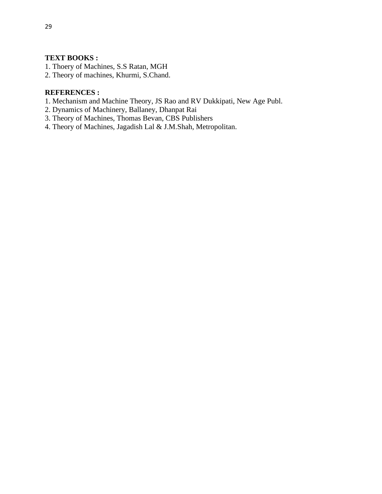### **TEXT BOOKS :**

- 1. Thoery of Machines, S.S Ratan, MGH
- 2. Theory of machines, Khurmi, S.Chand.

#### **REFERENCES :**

- 1. Mechanism and Machine Theory, JS Rao and RV Dukkipati, New Age Publ.
- 2. Dynamics of Machinery, Ballaney, Dhanpat Rai
- 3. Theory of Machines, Thomas Bevan, CBS Publishers
- 4. Theory of Machines, Jagadish Lal & J.M.Shah, Metropolitan.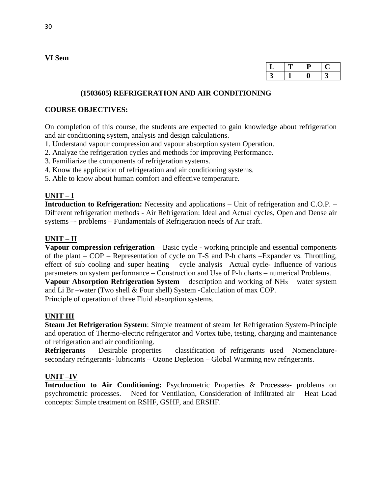| ι. |  |  |
|----|--|--|
|    |  |  |

### **(1503605) REFRIGERATION AND AIR CONDITIONING**

### **COURSE OBJECTIVES:**

On completion of this course, the students are expected to gain knowledge about refrigeration and air conditioning system, analysis and design calculations.

- 1. Understand vapour compression and vapour absorption system Operation.
- 2. Analyze the refrigeration cycles and methods for improving Performance.
- 3. Familiarize the components of refrigeration systems.
- 4. Know the application of refrigeration and air conditioning systems.
- 5. Able to know about human comfort and effective temperature.

# **UNIT – I**

**Introduction to Refrigeration:** Necessity and applications – Unit of refrigeration and C.O.P. – Different refrigeration methods - Air Refrigeration: Ideal and Actual cycles, Open and Dense air systems –- problems – Fundamentals of Refrigeration needs of Air craft.

# **UNIT – II**

**Vapour compression refrigeration** – Basic cycle - working principle and essential components of the plant – COP – Representation of cycle on T-S and P-h charts –Expander vs. Throttling, effect of sub cooling and super heating – cycle analysis –Actual cycle- Influence of various parameters on system performance – Construction and Use of P-h charts – numerical Problems.

**Vapour Absorption Refrigeration System** – description and working of NH**<sup>3</sup>** – water system and Li Br –water (Two shell & Four shell) System -Calculation of max COP.

Principle of operation of three Fluid absorption systems.

# **UNIT III**

**Steam Jet Refrigeration System**: Simple treatment of steam Jet Refrigeration System-Principle and operation of Thermo-electric refrigerator and Vortex tube, testing, charging and maintenance of refrigeration and air conditioning.

**Refrigerants** – Desirable properties – classification of refrigerants used –Nomenclaturesecondary refrigerants- lubricants – Ozone Depletion – Global Warming new refrigerants.

# **UNIT –IV**

**Introduction to Air Conditioning:** Psychrometric Properties & Processes- problems on psychrometric processes. – Need for Ventilation, Consideration of Infiltrated air – Heat Load concepts: Simple treatment on RSHF, GSHF, and ERSHF.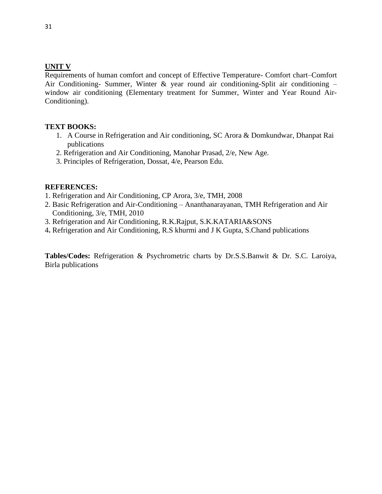### **UNIT V**

Requirements of human comfort and concept of Effective Temperature- Comfort chart–Comfort Air Conditioning- Summer, Winter & year round air conditioning-Split air conditioning – window air conditioning (Elementary treatment for Summer, Winter and Year Round Air-Conditioning).

### **TEXT BOOKS:**

- 1. A Course in Refrigeration and Air conditioning, SC Arora & Domkundwar, Dhanpat Rai publications
- 2. Refrigeration and Air Conditioning, Manohar Prasad, 2/e, New Age.
- 3. Principles of Refrigeration, Dossat, 4/e, Pearson Edu.

### **REFERENCES:**

- 1. Refrigeration and Air Conditioning, CP Arora, 3/e, TMH, 2008
- 2. Basic Refrigeration and Air-Conditioning Ananthanarayanan, TMH Refrigeration and Air Conditioning, 3/e, TMH, 2010
- 3. Refrigeration and Air Conditioning, R.K.Rajput, S.K.KATARIA&SONS
- 4**.** Refrigeration and Air Conditioning, R.S khurmi and J K Gupta, S.Chand publications

**Tables/Codes:** Refrigeration & Psychrometric charts by Dr.S.S.Banwit & Dr. S.C. Laroiya, Birla publications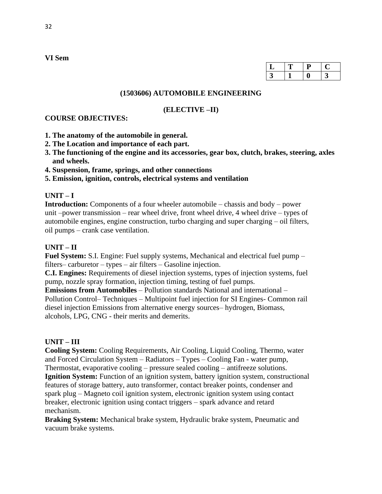### **(1503606) AUTOMOBILE ENGINEERING**

#### **(ELECTIVE –II)**

#### **COURSE OBJECTIVES:**

- **1. The anatomy of the automobile in general.**
- **2. The Location and importance of each part.**
- **3. The functioning of the engine and its accessories, gear box, clutch, brakes, steering, axles and wheels.**
- **4. Suspension, frame, springs, and other connections**

**5. Emission, ignition, controls, electrical systems and ventilation** 

### **UNIT – I**

**Introduction:** Components of a four wheeler automobile – chassis and body – power unit –power transmission – rear wheel drive, front wheel drive, 4 wheel drive – types of automobile engines, engine construction, turbo charging and super charging – oil filters, oil pumps – crank case ventilation.

### **UNIT – II**

**Fuel System:** S.I. Engine: Fuel supply systems, Mechanical and electrical fuel pump – filters– carburetor – types – air filters – Gasoline injection.

**C.I. Engines:** Requirements of diesel injection systems, types of injection systems, fuel pump, nozzle spray formation, injection timing, testing of fuel pumps.

**Emissions from Automobiles** – Pollution standards National and international – Pollution Control– Techniques – Multipoint fuel injection for SI Engines- Common rail diesel injection Emissions from alternative energy sources– hydrogen, Biomass, alcohols, LPG, CNG - their merits and demerits.

### **UNIT – III**

**Cooling System:** Cooling Requirements, Air Cooling, Liquid Cooling, Thermo, water and Forced Circulation System – Radiators – Types – Cooling Fan - water pump, Thermostat, evaporative cooling – pressure sealed cooling – antifreeze solutions. **Ignition System:** Function of an ignition system, battery ignition system, constructional features of storage battery, auto transformer, contact breaker points, condenser and spark plug – Magneto coil ignition system, electronic ignition system using contact breaker, electronic ignition using contact triggers – spark advance and retard mechanism.

**Braking System:** Mechanical brake system, Hydraulic brake system, Pneumatic and vacuum brake systems.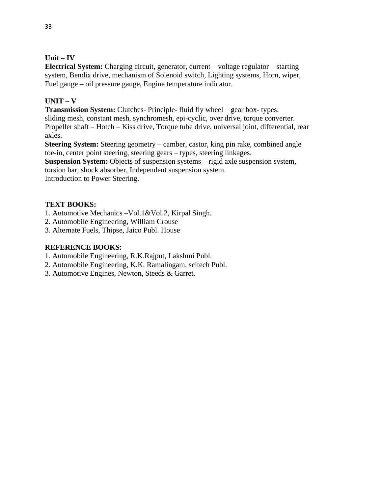# **Unit – IV**

**Electrical System:** Charging circuit, generator, current – voltage regulator – starting system, Bendix drive, mechanism of Solenoid switch, Lighting systems, Horn, wiper, Fuel gauge – oil pressure gauge, Engine temperature indicator.

# **UNIT – V**

**Transmission System:** Clutches- Principle- fluid fly wheel – gear box- types: sliding mesh, constant mesh, synchromesh, epi-cyclic, over drive, torque converter. Propeller shaft – Hotch – Kiss drive, Torque tube drive, universal joint, differential, rear axles.

**Steering System:** Steering geometry – camber, castor, king pin rake, combined angle toe-in, center point steering, steering gears – types, steering linkages.

**Suspension System:** Objects of suspension systems – rigid axle suspension system,

torsion bar, shock absorber, Independent suspension system.

Introduction to Power Steering.

# **TEXT BOOKS:**

- 1. Automotive Mechanics –Vol.1&Vol.2, Kirpal Singh.
- 2. Automobile Engineering, William Crouse
- 3. Alternate Fuels, Thipse, Jaico Publ. House

# **REFERENCE BOOKS:**

- 1. Automobile Engineering, R.K.Rajput, Lakshmi Publ.
- 2. Automobile Engineering, K.K. Ramalingam, scitech Publ.
- 3. Automotive Engines, Newton, Steeds & Garret.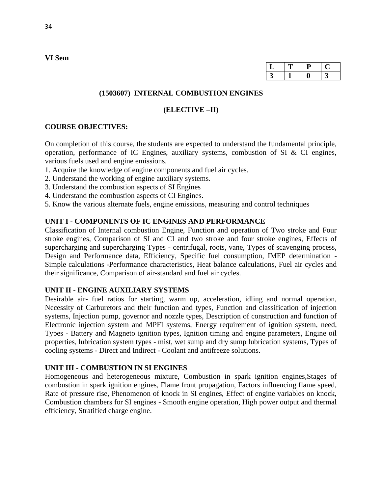|  | L |  |
|--|---|--|
|  |   |  |

### **(1503607) INTERNAL COMBUSTION ENGINES**

#### **(ELECTIVE –II)**

### **COURSE OBJECTIVES:**

On completion of this course, the students are expected to understand the fundamental principle, operation, performance of IC Engines, auxiliary systems, combustion of SI & CI engines, various fuels used and engine emissions.

- 1. Acquire the knowledge of engine components and fuel air cycles.
- 2. Understand the working of engine auxiliary systems.
- 3. Understand the combustion aspects of SI Engines
- 4. Understand the combustion aspects of CI Engines.
- 5. Know the various alternate fuels, engine emissions, measuring and control techniques

### **UNIT I - COMPONENTS OF IC ENGINES AND PERFORMANCE**

Classification of Internal combustion Engine, Function and operation of Two stroke and Four stroke engines, Comparison of SI and CI and two stroke and four stroke engines, Effects of supercharging and supercharging Types - centrifugal, roots, vane, Types of scavenging process, Design and Performance data, Efficiency, Specific fuel consumption, IMEP determination - Simple calculations -Performance characteristics, Heat balance calculations, Fuel air cycles and their significance, Comparison of air-standard and fuel air cycles.

### **UNIT II - ENGINE AUXILIARY SYSTEMS**

Desirable air- fuel ratios for starting, warm up, acceleration, idling and normal operation, Necessity of Carburetors and their function and types, Function and classification of injection systems, Injection pump, governor and nozzle types, Description of construction and function of Electronic injection system and MPFI systems, Energy requirement of ignition system, need, Types - Battery and Magneto ignition types, Ignition timing and engine parameters, Engine oil properties, lubrication system types - mist, wet sump and dry sump lubrication systems, Types of cooling systems - Direct and Indirect - Coolant and antifreeze solutions.

# **UNIT III - COMBUSTION IN SI ENGINES**

Homogeneous and heterogeneous mixture, Combustion in spark ignition engines,Stages of combustion in spark ignition engines, Flame front propagation, Factors influencing flame speed, Rate of pressure rise, Phenomenon of knock in SI engines, Effect of engine variables on knock, Combustion chambers for SI engines - Smooth engine operation, High power output and thermal efficiency, Stratified charge engine.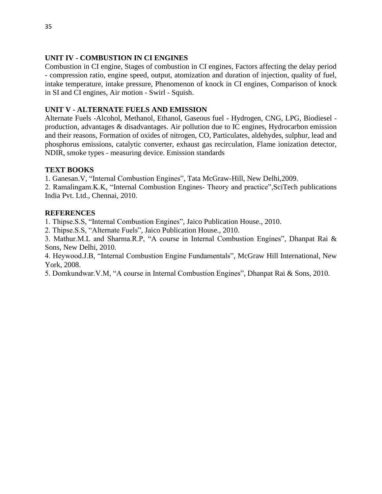## **UNIT IV - COMBUSTION IN CI ENGINES**

Combustion in CI engine, Stages of combustion in CI engines, Factors affecting the delay period - compression ratio, engine speed, output, atomization and duration of injection, quality of fuel, intake temperature, intake pressure, Phenomenon of knock in CI engines, Comparison of knock in SI and CI engines, Air motion - Swirl - Squish.

### **UNIT V - ALTERNATE FUELS AND EMISSION**

Alternate Fuels -Alcohol, Methanol, Ethanol, Gaseous fuel - Hydrogen, CNG, LPG, Biodiesel production, advantages & disadvantages. Air pollution due to IC engines, Hydrocarbon emission and their reasons, Formation of oxides of nitrogen, CO, Particulates, aldehydes, sulphur, lead and phosphorus emissions, catalytic converter, exhaust gas recirculation, Flame ionization detector, NDIR, smoke types - measuring device. Emission standards

### **TEXT BOOKS**

1. Ganesan.V, "Internal Combustion Engines", Tata McGraw-Hill, New Delhi,2009.

2. Ramalingam.K.K, "Internal Combustion Engines- Theory and practice",SciTech publications India Pvt. Ltd., Chennai, 2010.

### **REFERENCES**

1. Thipse.S.S, "Internal Combustion Engines", Jaico Publication House., 2010.

2. Thipse.S.S, "Alternate Fuels", Jaico Publication House., 2010.

3. Mathur.M.L and Sharma.R.P, "A course in Internal Combustion Engines", Dhanpat Rai & Sons, New Delhi, 2010.

4. Heywood.J.B, "Internal Combustion Engine Fundamentals", McGraw Hill International, New York, 2008.

5. Domkundwar.V.M, "A course in Internal Combustion Engines", Dhanpat Rai & Sons, 2010.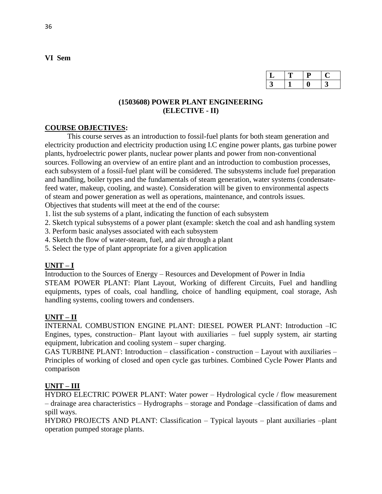| ı. |  |  |
|----|--|--|
|    |  |  |

## **(1503608) POWER PLANT ENGINEERING (ELECTIVE - II)**

# **COURSE OBJECTIVES:**

This course serves as an introduction to fossil-fuel plants for both steam generation and electricity production and electricity production using I.C engine power plants, gas turbine power plants, hydroelectric power plants, nuclear power plants and power from non-conventional sources. Following an overview of an entire plant and an introduction to combustion processes, each subsystem of a fossil-fuel plant will be considered. The subsystems include fuel preparation and handling, boiler types and the fundamentals of steam generation, water systems (condensatefeed water, makeup, cooling, and waste). Consideration will be given to environmental aspects of steam and power generation as well as operations, maintenance, and controls issues. Objectives that students will meet at the end of the course:

1. list the sub systems of a plant, indicating the function of each subsystem

2. Sketch typical subsystems of a power plant (example: sketch the coal and ash handling system

3. Perform basic analyses associated with each subsystem

4. Sketch the flow of water-steam, fuel, and air through a plant

5. Select the type of plant appropriate for a given application

# **UNIT – I**

Introduction to the Sources of Energy – Resources and Development of Power in India STEAM POWER PLANT: Plant Layout, Working of different Circuits, Fuel and handling equipments, types of coals, coal handling, choice of handling equipment, coal storage, Ash handling systems, cooling towers and condensers.

# **UNIT – II**

INTERNAL COMBUSTION ENGINE PLANT: DIESEL POWER PLANT: Introduction –IC Engines, types, construction– Plant layout with auxiliaries – fuel supply system, air starting equipment, lubrication and cooling system – super charging.

GAS TURBINE PLANT: Introduction – classification - construction – Layout with auxiliaries – Principles of working of closed and open cycle gas turbines. Combined Cycle Power Plants and comparison

# **UNIT – III**

HYDRO ELECTRIC POWER PLANT: Water power – Hydrological cycle / flow measurement – drainage area characteristics – Hydrographs – storage and Pondage –classification of dams and spill ways.

HYDRO PROJECTS AND PLANT: Classification – Typical layouts – plant auxiliaries –plant operation pumped storage plants.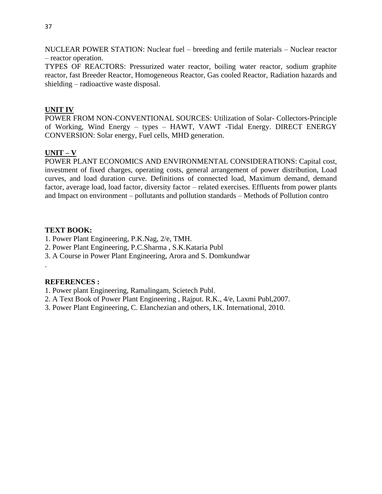NUCLEAR POWER STATION: Nuclear fuel – breeding and fertile materials – Nuclear reactor – reactor operation.

TYPES OF REACTORS: Pressurized water reactor, boiling water reactor, sodium graphite reactor, fast Breeder Reactor, Homogeneous Reactor, Gas cooled Reactor, Radiation hazards and shielding – radioactive waste disposal.

### **UNIT IV**

POWER FROM NON-CONVENTIONAL SOURCES: Utilization of Solar- Collectors-Principle of Working, Wind Energy – types – HAWT, VAWT -Tidal Energy. DIRECT ENERGY CONVERSION: Solar energy, Fuel cells, MHD generation.

### **UNIT – V**

POWER PLANT ECONOMICS AND ENVIRONMENTAL CONSIDERATIONS: Capital cost, investment of fixed charges, operating costs, general arrangement of power distribution, Load curves, and load duration curve. Definitions of connected load, Maximum demand, demand factor, average load, load factor, diversity factor – related exercises. Effluents from power plants and Impact on environment – pollutants and pollution standards – Methods of Pollution contro

### **TEXT BOOK:**

- 1. Power Plant Engineering, P.K.Nag, 2/e, TMH.
- 2. Power Plant Engineering, P.C.Sharma , S.K.Kataria Publ
- 3. A Course in Power Plant Engineering, Arora and S. Domkundwar

### **REFERENCES :**

.

- 1. Power plant Engineering, Ramalingam, Scietech Publ.
- 2. A Text Book of Power Plant Engineering , Rajput. R.K., 4/e, Laxmi Publ,2007.
- 3. Power Plant Engineering, C. Elanchezian and others, I.K. International, 2010.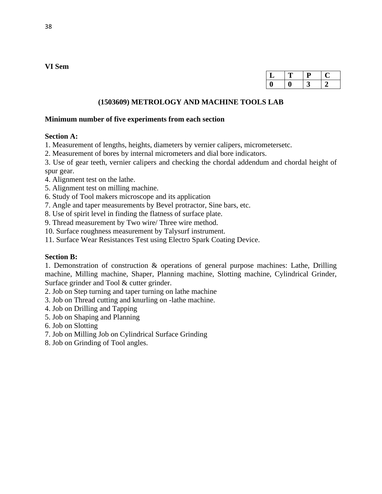| ◡ | П | IJ |  |
|---|---|----|--|
|   |   |    |  |

### **(1503609) METROLOGY AND MACHINE TOOLS LAB**

#### **Minimum number of five experiments from each section**

#### **Section A:**

1. Measurement of lengths, heights, diameters by vernier calipers, micrometersetc.

2. Measurement of bores by internal micrometers and dial bore indicators.

3. Use of gear teeth, vernier calipers and checking the chordal addendum and chordal height of spur gear.

- 4. Alignment test on the lathe.
- 5. Alignment test on milling machine.
- 6. Study of Tool makers microscope and its application
- 7. Angle and taper measurements by Bevel protractor, Sine bars, etc.
- 8. Use of spirit level in finding the flatness of surface plate.
- 9. Thread measurement by Two wire/ Three wire method.
- 10. Surface roughness measurement by Talysurf instrument.
- 11. Surface Wear Resistances Test using Electro Spark Coating Device.

#### **Section B:**

1. Demonstration of construction & operations of general purpose machines: Lathe, Drilling machine, Milling machine, Shaper, Planning machine, Slotting machine, Cylindrical Grinder, Surface grinder and Tool & cutter grinder.

- 2. Job on Step turning and taper turning on lathe machine
- 3. Job on Thread cutting and knurling on -lathe machine.
- 4. Job on Drilling and Tapping
- 5. Job on Shaping and Planning
- 6. Job on Slotting
- 7. Job on Milling Job on Cylindrical Surface Grinding
- 8. Job on Grinding of Tool angles.